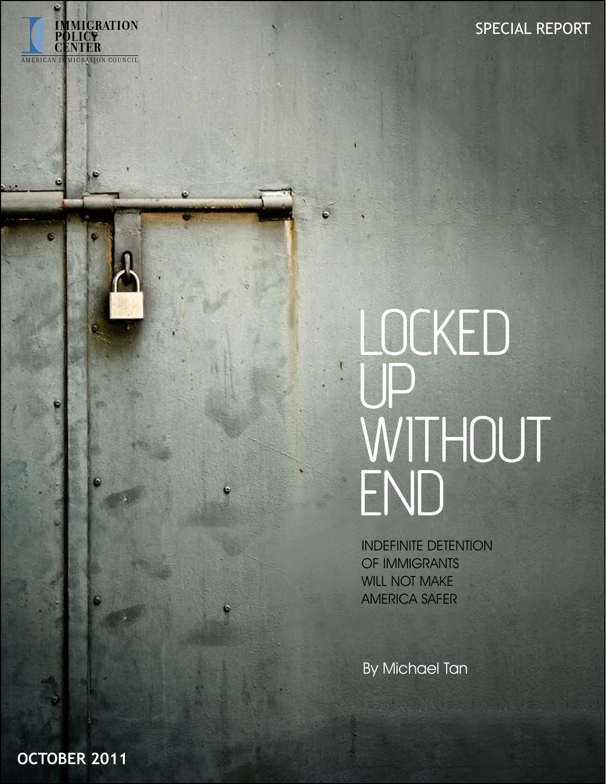# LOCKED UP WITHOUT END

INDEFINITE DETENTION OF IMMIGRANTS WILL NOT MAKE AMERICA SAFER

By Michael Tan

**OCTOBER 2011**

**IMMIGRATION**

**POLICY IMMIGR<br>POLICY<br>CENTER** 

A MERICAN IN MIGRATION COUNCIL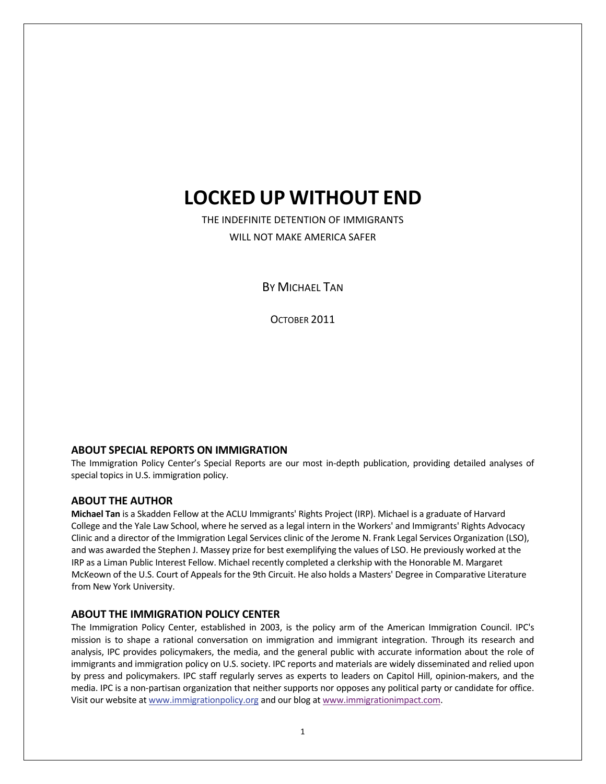# **LOCKED UP WITHOUT END**

THE INDEFINITE DETENTION OF IMMIGRANTS WILL NOT MAKE AMERICA SAFER

**BY MICHAEL TAN** 

OCTOBER 2011

#### **ABOUT SPECIAL REPORTS ON IMMIGRATION**

The Immigration Policy Center's Special Reports are our most in‐depth publication, providing detailed analyses of special topics in U.S. immigration policy.

#### **ABOUT THE AUTHOR**

**Michael Tan** is a Skadden Fellow at the ACLU Immigrants' Rights Project (IRP). Michael is a graduate of Harvard College and the Yale Law School, where he served as a legal intern in the Workers' and Immigrants' Rights Advocacy Clinic and a director of the Immigration Legal Services clinic of the Jerome N. Frank Legal Services Organization (LSO), and was awarded the Stephen J. Massey prize for best exemplifying the values of LSO. He previously worked at the IRP as a Liman Public Interest Fellow. Michael recently completed a clerkship with the Honorable M. Margaret McKeown of the U.S. Court of Appeals for the 9th Circuit. He also holds a Masters' Degree in Comparative Literature from New York University.

#### **ABOUT THE IMMIGRATION POLICY CENTER**

The Immigration Policy Center, established in 2003, is the policy arm of the American Immigration Council. IPC's mission is to shape a rational conversation on immigration and immigrant integration. Through its research and analysis, IPC provides policymakers, the media, and the general public with accurate information about the role of immigrants and immigration policy on U.S. society. IPC reports and materials are widely disseminated and relied upon by press and policymakers. IPC staff regularly serves as experts to leaders on Capitol Hill, opinion-makers, and the media. IPC is a non‐partisan organization that neither supports nor opposes any political party or candidate for office. Visit our website at [www.immigrationpolicy.org](http://rs6.net/tn.jsp?e=0013sB3H4Ngeb8u23v8DTLYuHff5o3A9Y7fC7wsO-myYRJX8RIQtjCJU2lT5w5MoDBNruFtlQCCVis4BypKz358QSnkHIGy4kZ3WjQGc9mhqFGdO-75dEFf5V4SGNJr23Hf&id=preview&id=preview) and our blog at [www.immigrationimpact.com](http://www.immigrationimpact.com/).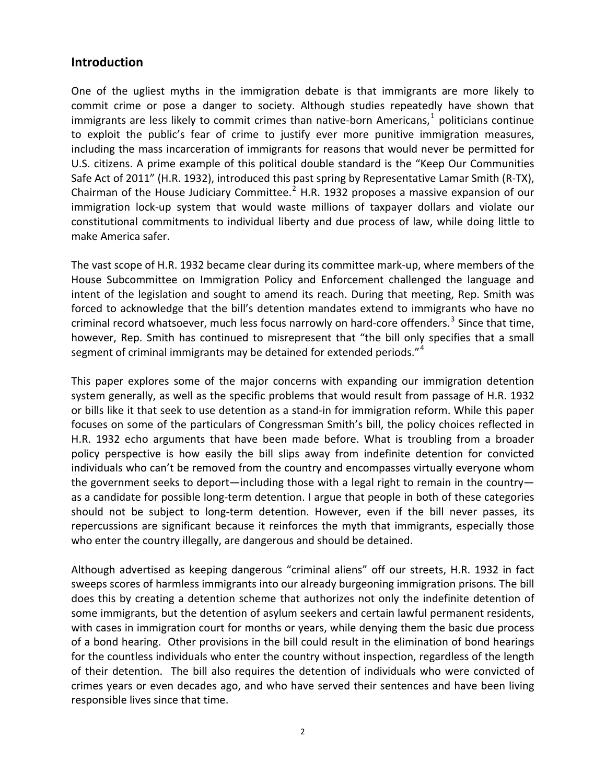#### **Introduction**

One of the ugliest myths in the immigration debate is that immigrants are more likely to commit crime or pose a danger to society. Although studies repeatedly have shown that immigrants are less likely to commit crimes than native-born Americans, $<sup>1</sup>$  $<sup>1</sup>$  $<sup>1</sup>$  politicians continue</sup> to exploit the public's fear of crime to justify ever more punitive immigration measures, including the mass incarceration of immigrants for reasons that would never be permitted for U.S. citizens. A prime example of this political double standard is the "Keep Our Communities Safe Act of 2011" (H.R. 1932), introduced this past spring by Representative Lamar Smith (R‐TX), Chairman of the House Judiciary Committee.<sup>[2](#page-9-1)</sup> H.R. 1932 proposes a massive expansion of our immigration lock-up system that would waste millions of taxpayer dollars and violate our constitutional commitments to individual liberty and due process of law, while doing little to make America safer.

The vast scope of H.R. 1932 became clear during its committee mark‐up, where members of the House Subcommittee on Immigration Policy and Enforcement challenged the language and intent of the legislation and sought to amend its reach. During that meeting, Rep. Smith was forced to acknowledge that the bill's detention mandates extend to immigrants who have no criminal record whatsoever, much less focus narrowly on hard-core offenders.<sup>[3](#page-10-0)</sup> Since that time, however, Rep. Smith has continued to misrepresent that "the bill only specifies that a small segment of criminal immigrants may be detained for extended periods."<sup>[4](#page-10-0)</sup>

This paper explores some of the major concerns with expanding our immigration detention system generally, as well as the specific problems that would result from passage of H.R. 1932 or bills like it that seek to use detention as a stand‐in for immigration reform. While this paper focuses on some of the particulars of Congressman Smith's bill, the policy choices reflected in H.R. 1932 echo arguments that have been made before. What is troubling from a broader policy perspective is how easily the bill slips away from indefinite detention for convicted individuals who can't be removed from the country and encompasses virtually everyone whom the government seeks to deport—including those with a legal right to remain in the country as a candidate for possible long‐term detention. I argue that people in both of these categories should not be subject to long-term detention. However, even if the bill never passes, its repercussions are significant because it reinforces the myth that immigrants, especially those who enter the country illegally, are dangerous and should be detained.

Although advertised as keeping dangerous "criminal aliens" off our streets, H.R. 1932 in fact sweeps scores of harmless immigrants into our already burgeoning immigration prisons. The bill does this by creating a detention scheme that authorizes not only the indefinite detention of some immigrants, but the detention of asylum seekers and certain lawful permanent residents, with cases in immigration court for months or years, while denying them the basic due process of a bond hearing. Other provisions in the bill could result in the elimination of bond hearings for the countless individuals who enter the country without inspection, regardless of the length of their detention. The bill also requires the detention of individuals who were convicted of crimes years or even decades ago, and who have served their sentences and have been living responsible lives since that time.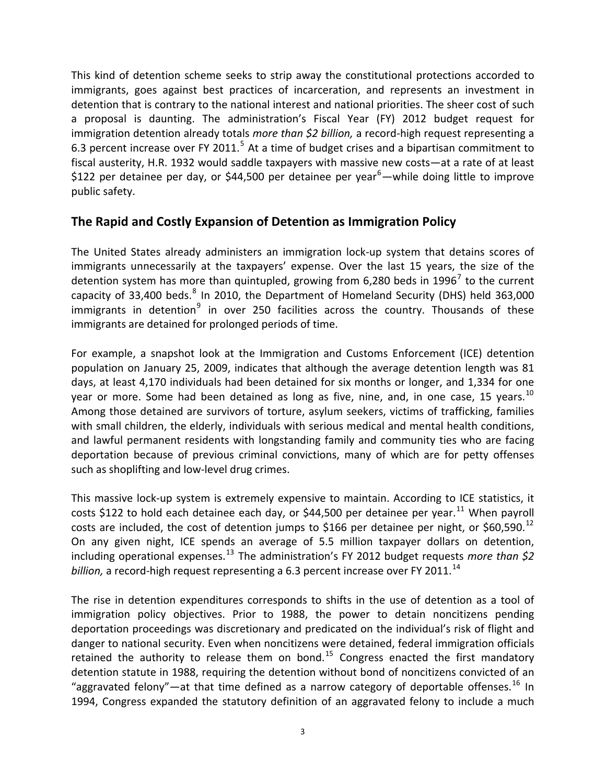This kind of detention scheme seeks to strip away the constitutional protections accorded to immigrants, goes against best practices of incarceration, and represents an investment in detention that is contrary to the national interest and national priorities. The sheer cost of such a proposal is daunting. The administration's Fiscal Year (FY) 2012 budget request for immigration detention already totals *more than \$2 billion,* a record‐high request representing a 6.3 percent increase over FY 2011.<sup>[5](#page-10-0)</sup> At a time of budget crises and a bipartisan commitment to fiscal austerity, H.R. 1932 would saddle taxpayers with massive new costs—at a rate of at least \$122 per detainee per day, or \$44,500 per detainee per year<sup>[6](#page-10-0)</sup>—while doing little to improve public safety.

#### **The Rapid and Costly Expansion of Detention as Immigration Policy**

The United States already administers an immigration lock‐up system that detains scores of immigrants unnecessarily at the taxpayers' expense. Over the last 15 years, the size of the detention system has more than quintupled, growing from 6,280 beds in 1996<sup>[7](#page-10-0)</sup> to the current capacity of 33,400 beds.<sup>[8](#page-10-0)</sup> In 2010, the Department of Homeland Security (DHS) held 363,000 immigrants in detention<sup>[9](#page-10-0)</sup> in over 250 facilities across the country. Thousands of these immigrants are detained for prolonged periods of time.

For example, a snapshot look at the Immigration and Customs Enforcement (ICE) detention population on January 25, 2009, indicates that although the average detention length was 81 days, at least 4,170 individuals had been detained for six months or longer, and 1,334 for one year or more. Some had been detained as long as five, nine, and, in one case, 15 years.<sup>[10](#page-10-0)</sup> Among those detained are survivors of torture, asylum seekers, victims of trafficking, families with small children, the elderly, individuals with serious medical and mental health conditions, and lawful permanent residents with longstanding family and community ties who are facing deportation because of previous criminal convictions, many of which are for petty offenses such as shoplifting and low-level drug crimes.

This massive lock‐up system is extremely expensive to maintain. According to ICE statistics, it costs \$122 to hold each detainee each day, or \$44,500 per detainee per vear.<sup>[11](#page-10-0)</sup> When pavroll costs are included, the cost of detention jumps to \$166 per detainee per night, or \$60,590.<sup>[12](#page-10-0)</sup> On any given night, ICE spends an average of 5.5 million taxpayer dollars on detention, including operational expenses.[13](#page-10-0) The administration's FY 2012 budget requests *more than \$2 billion*, a record-high request representing a 6.3 percent increase over FY 2011.<sup>14</sup>

The rise in detention expenditures corresponds to shifts in the use of detention as a tool of immigration policy objectives. Prior to 1988, the power to detain noncitizens pending deportation proceedings was discretionary and predicated on the individual's risk of flight and danger to national security. Even when noncitizens were detained, federal immigration officials retained the authority to release them on bond.<sup>[15](#page-10-0)</sup> Congress enacted the first mandatory detention statute in 1988, requiring the detention without bond of noncitizens convicted of an "aggravated felony"—at that time defined as a narrow category of deportable offenses.<sup>[16](#page-10-0)</sup> In 1994, Congress expanded the statutory definition of an aggravated felony to include a much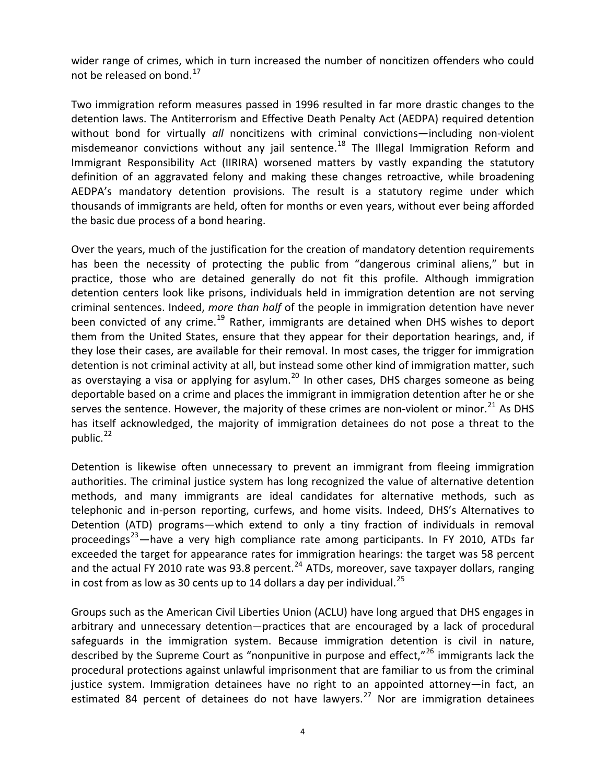wider range of crimes, which in turn increased the number of noncitizen offenders who could not be released on bond.<sup>[17](#page-10-0)</sup>

Two immigration reform measures passed in 1996 resulted in far more drastic changes to the detention laws. The Antiterrorism and Effective Death Penalty Act (AEDPA) required detention without bond for virtually *all* noncitizens with criminal convictions—including non-violent misdemeanor convictions without any jail sentence.<sup>[18](#page-10-0)</sup> The Illegal Immigration Reform and Immigrant Responsibility Act (IIRIRA) worsened matters by vastly expanding the statutory definition of an aggravated felony and making these changes retroactive, while broadening AEDPA's mandatory detention provisions. The result is a statutory regime under which thousands of immigrants are held, often for months or even years, without ever being afforded the basic due process of a bond hearing.

Over the years, much of the justification for the creation of mandatory detention requirements has been the necessity of protecting the public from "dangerous criminal aliens," but in practice, those who are detained generally do not fit this profile. Although immigration detention centers look like prisons, individuals held in immigration detention are not serving criminal sentences. Indeed, *more than half* of the people in immigration detention have never been convicted of any crime.<sup>[19](#page-10-0)</sup> Rather, immigrants are detained when DHS wishes to deport them from the United States, ensure that they appear for their deportation hearings, and, if they lose their cases, are available for their removal. In most cases, the trigger for immigration detention is not criminal activity at all, but instead some other kind of immigration matter, such as overstaying a visa or applying for asylum.<sup>[20](#page-10-0)</sup> In other cases, DHS charges someone as being deportable based on a crime and places the immigrant in immigration detention after he or she serves the sentence. However, the majority of these crimes are non-violent or minor.<sup>[21](#page-10-0)</sup> As DHS has itself acknowledged, the majority of immigration detainees do not pose a threat to the public. $^{22}$  $^{22}$  $^{22}$ 

Detention is likewise often unnecessary to prevent an immigrant from fleeing immigration authorities. The criminal justice system has long recognized the value of alternative detention methods, and many immigrants are ideal candidates for alternative methods, such as telephonic and in‐person reporting, curfews, and home visits. Indeed, DHS's Alternatives to Detention (ATD) programs—which extend to only a tiny fraction of individuals in removal proceedings<sup>[23](#page-11-0)</sup>—have a very high compliance rate among participants. In FY 2010, ATDs far exceeded the target for appearance rates for immigration hearings: the target was 58 percent and the actual FY 2010 rate was 93.8 percent.<sup>[24](#page-11-0)</sup> ATDs, moreover, save taxpayer dollars, ranging in cost from as low as 30 cents up to 14 dollars a day per individual.<sup>[25](#page-11-0)</sup>

Groups such as the American Civil Liberties Union (ACLU) have long argued that DHS engages in arbitrary and unnecessary detention—practices that are encouraged by a lack of procedural safeguards in the immigration system. Because immigration detention is civil in nature, described by the Supreme Court as "nonpunitive in purpose and effect," $^{26}$  $^{26}$  $^{26}$  immigrants lack the procedural protections against unlawful imprisonment that are familiar to us from the criminal justice system. Immigration detainees have no right to an appointed attorney—in fact, an estimated 84 percent of detainees do not have lawyers.<sup>[27](#page-11-0)</sup> Nor are immigration detainees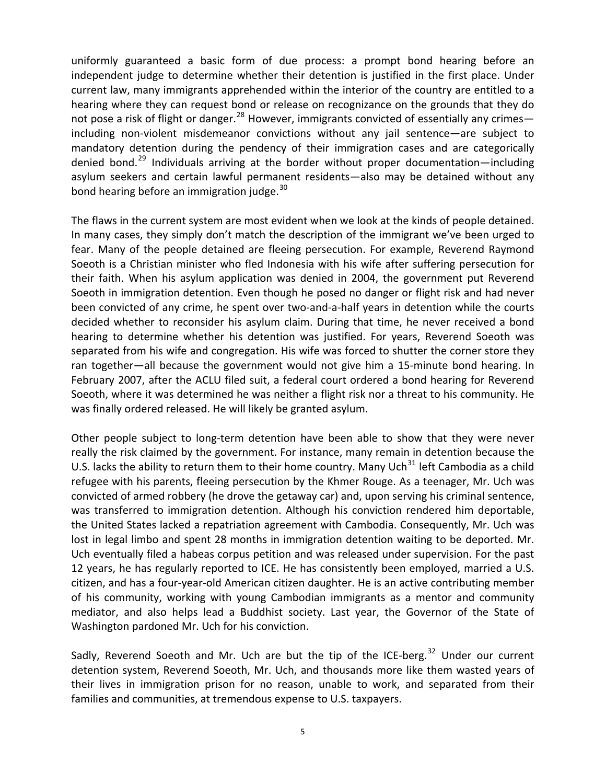uniformly guaranteed a basic form of due process: a prompt bond hearing before an independent judge to determine whether their detention is justified in the first place. Under current law, many immigrants apprehended within the interior of the country are entitled to a hearing where they can request bond or release on recognizance on the grounds that they do not pose a risk of flight or danger.<sup>[28](#page-11-0)</sup> However, immigrants convicted of essentially any crimes including non‐violent misdemeanor convictions without any jail sentence—are subject to mandatory detention during the pendency of their immigration cases and are categorically denied bond.<sup>[29](#page-11-0)</sup> Individuals arriving at the border without proper documentation—including asylum seekers and certain lawful permanent residents—also may be detained without any bond hearing before an immigration judge.<sup>[30](#page-11-0)</sup>

The flaws in the current system are most evident when we look at the kinds of people detained. In many cases, they simply don't match the description of the immigrant we've been urged to fear. Many of the people detained are fleeing persecution. For example, Reverend Raymond Soeoth is a Christian minister who fled Indonesia with his wife after suffering persecution for their faith. When his asylum application was denied in 2004, the government put Reverend Soeoth in immigration detention. Even though he posed no danger or flight risk and had never been convicted of any crime, he spent over two-and-a-half years in detention while the courts decided whether to reconsider his asylum claim. During that time, he never received a bond hearing to determine whether his detention was justified. For years, Reverend Soeoth was separated from his wife and congregation. His wife was forced to shutter the corner store they ran together—all because the government would not give him a 15-minute bond hearing. In February 2007, after the ACLU filed suit, a federal court ordered a bond hearing for Reverend Soeoth, where it was determined he was neither a flight risk nor a threat to his community. He was finally ordered released. He will likely be granted asylum.

Other people subject to long‐term detention have been able to show that they were never really the risk claimed by the government. For instance, many remain in detention because the U.S. lacks the ability to return them to their home country. Many Uch $^{31}$  $^{31}$  $^{31}$  left Cambodia as a child refugee with his parents, fleeing persecution by the Khmer Rouge. As a teenager, Mr. Uch was convicted of armed robbery (he drove the getaway car) and, upon serving his criminal sentence, was transferred to immigration detention. Although his conviction rendered him deportable, the United States lacked a repatriation agreement with Cambodia. Consequently, Mr. Uch was lost in legal limbo and spent 28 months in immigration detention waiting to be deported. Mr. Uch eventually filed a habeas corpus petition and was released under supervision. For the past 12 years, he has regularly reported to ICE. He has consistently been employed, married a U.S. citizen, and has a four‐year‐old American citizen daughter. He is an active contributing member of his community, working with young Cambodian immigrants as a mentor and community mediator, and also helps lead a Buddhist society. Last year, the Governor of the State of Washington pardoned Mr. Uch for his conviction.

Sadly, Reverend Soeoth and Mr. Uch are but the tip of the ICE-berg.<sup>[32](#page-11-0)</sup> Under our current detention system, Reverend Soeoth, Mr. Uch, and thousands more like them wasted years of their lives in immigration prison for no reason, unable to work, and separated from their families and communities, at tremendous expense to U.S. taxpayers.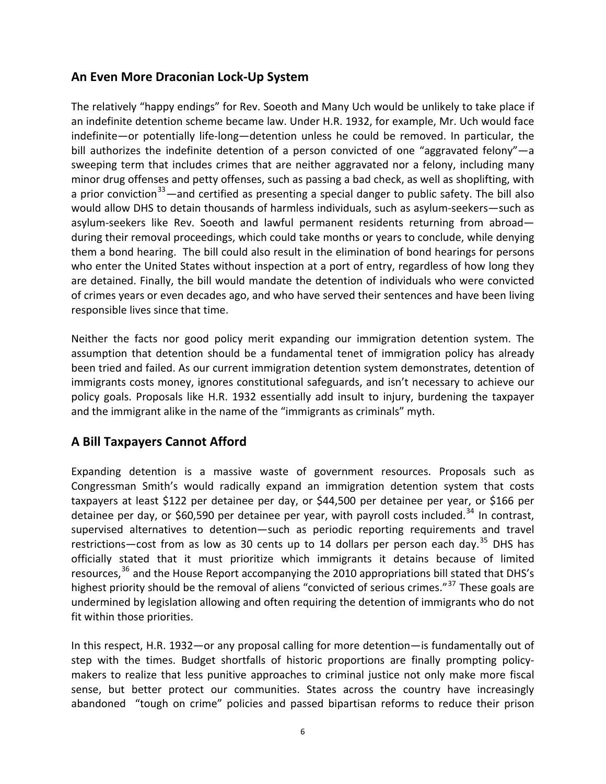# **An Even More Draconian Lock‐Up System**

The relatively "happy endings" for Rev. Soeoth and Many Uch would be unlikely to take place if an indefinite detention scheme became law. Under H.R. 1932, for example, Mr. Uch would face indefinite—or potentially life‐long—detention unless he could be removed. In particular, the bill authorizes the indefinite detention of a person convicted of one "aggravated felony"—a sweeping term that includes crimes that are neither aggravated nor a felony, including many minor drug offenses and petty offenses, such as passing a bad check, as well as shoplifting, with a prior conviction<sup>[33](#page-11-0)</sup>—and certified as presenting a special danger to public safety. The bill also would allow DHS to detain thousands of harmless individuals, such as asylum‐seekers—such as asylum‐seekers like Rev. Soeoth and lawful permanent residents returning from abroad during their removal proceedings, which could take months or years to conclude, while denying them a bond hearing. The bill could also result in the elimination of bond hearings for persons who enter the United States without inspection at a port of entry, regardless of how long they are detained. Finally, the bill would mandate the detention of individuals who were convicted of crimes years or even decades ago, and who have served their sentences and have been living responsible lives since that time.

Neither the facts nor good policy merit expanding our immigration detention system. The assumption that detention should be a fundamental tenet of immigration policy has already been tried and failed. As our current immigration detention system demonstrates, detention of immigrants costs money, ignores constitutional safeguards, and isn't necessary to achieve our policy goals. Proposals like H.R. 1932 essentially add insult to injury, burdening the taxpayer and the immigrant alike in the name of the "immigrants as criminals" myth.

# **A Bill Taxpayers Cannot Afford**

Expanding detention is a massive waste of government resources. Proposals such as Congressman Smith's would radically expand an immigration detention system that costs taxpayers at least \$122 per detainee per day, or \$44,500 per detainee per year, or \$166 per detainee per day, or \$60,590 per detainee per year, with payroll costs included.<sup>[34](#page-11-0)</sup> In contrast. supervised alternatives to detention—such as periodic reporting requirements and travel restrictions—cost from as low as 30 cents up to 14 dollars per person each day. $^{35}$  $^{35}$  $^{35}$  DHS has officially stated that it must prioritize which immigrants it detains because of limited resources,  $36$  and the House Report accompanying the 2010 appropriations bill stated that DHS's highest priority should be the removal of aliens "convicted of serious crimes."<sup>[37](#page-11-0)</sup> These goals are undermined by legislation allowing and often requiring the detention of immigrants who do not fit within those priorities.

In this respect, H.R. 1932—or any proposal calling for more detention—is fundamentally out of step with the times. Budget shortfalls of historic proportions are finally prompting policymakers to realize that less punitive approaches to criminal justice not only make more fiscal sense, but better protect our communities. States across the country have increasingly abandoned "tough on crime" policies and passed bipartisan reforms to reduce their prison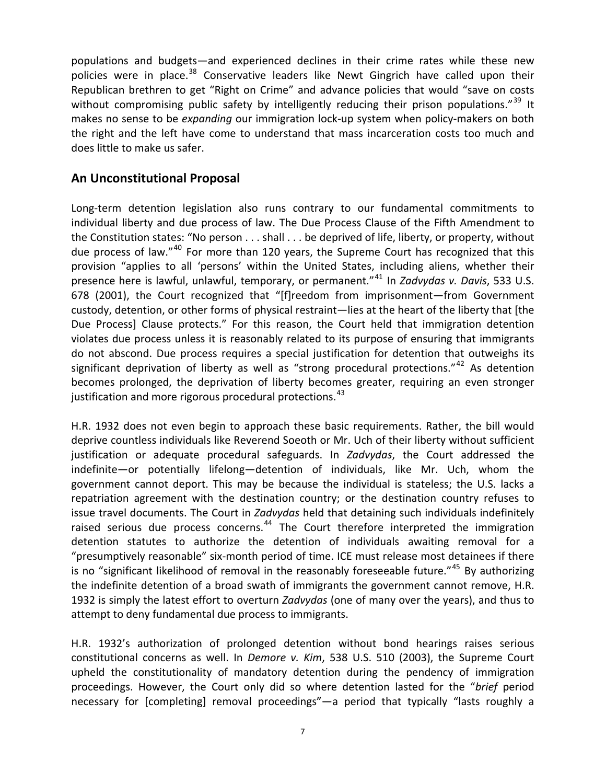populations and budgets—and experienced declines in their crime rates while these new policies were in place.<sup>[38](#page-11-0)</sup> Conservative leaders like Newt Gingrich have called upon their Republican brethren to get "Right on Crime" and advance policies that would "save on costs without compromising public safety by intelligently reducing their prison populations."<sup>[39](#page-11-0)</sup> It makes no sense to be *expanding* our immigration lock‐up system when policy‐makers on both the right and the left have come to understand that mass incarceration costs too much and does little to make us safer.

## **An Unconstitutional Proposal**

Long-term detention legislation also runs contrary to our fundamental commitments to individual liberty and due process of law. The Due Process Clause of the Fifth Amendment to the Constitution states: "No person . . . shall . . . be deprived of life, liberty, or property, without due process of law."<sup>[40](#page-11-0)</sup> For more than 120 years, the Supreme Court has recognized that this provision "applies to all 'persons' within the United States, including aliens, whether their presence here is lawful, unlawful, temporary, or permanent."[41](#page-11-0) In *Zadvydas v. Davis*, 533 U.S. 678 (2001), the Court recognized that "[f]reedom from imprisonment—from Government custody, detention, or other forms of physical restraint—lies at the heart of the liberty that [the Due Process] Clause protects." For this reason, the Court held that immigration detention violates due process unless it is reasonably related to its purpose of ensuring that immigrants do not abscond. Due process requires a special justification for detention that outweighs its significant deprivation of liberty as well as "strong procedural protections."<sup>[42](#page-11-0)</sup> As detention becomes prolonged, the deprivation of liberty becomes greater, requiring an even stronger justification and more rigorous procedural protections.<sup>[43](#page-11-0)</sup>

H.R. 1932 does not even begin to approach these basic requirements. Rather, the bill would deprive countless individuals like Reverend Soeoth or Mr. Uch of their liberty without sufficient justification or adequate procedural safeguards. In *Zadvydas*, the Court addressed the indefinite—or potentially lifelong—detention of individuals, like Mr. Uch, whom the government cannot deport. This may be because the individual is stateless; the U.S. lacks a repatriation agreement with the destination country; or the destination country refuses to issue travel documents. The Court in *Zadvydas* held that detaining such individuals indefinitely raised serious due process concerns.<sup>[44](#page-12-0)</sup> The Court therefore interpreted the immigration detention statutes to authorize the detention of individuals awaiting removal for a "presumptively reasonable" six‐month period of time. ICE must release most detainees if there is no "significant likelihood of removal in the reasonably foreseeable future."<sup>[45](#page-12-0)</sup> By authorizing the indefinite detention of a broad swath of immigrants the government cannot remove, H.R. 1932 is simply the latest effort to overturn *Zadvydas* (one of many over the years), and thus to attempt to deny fundamental due process to immigrants.

H.R. 1932's authorization of prolonged detention without bond hearings raises serious constitutional concerns as well. In *Demore v. Kim*, 538 U.S. 510 (2003), the Supreme Court upheld the constitutionality of mandatory detention during the pendency of immigration proceedings. However, the Court only did so where detention lasted for the "*brief* period necessary for [completing] removal proceedings"—a period that typically "lasts roughly a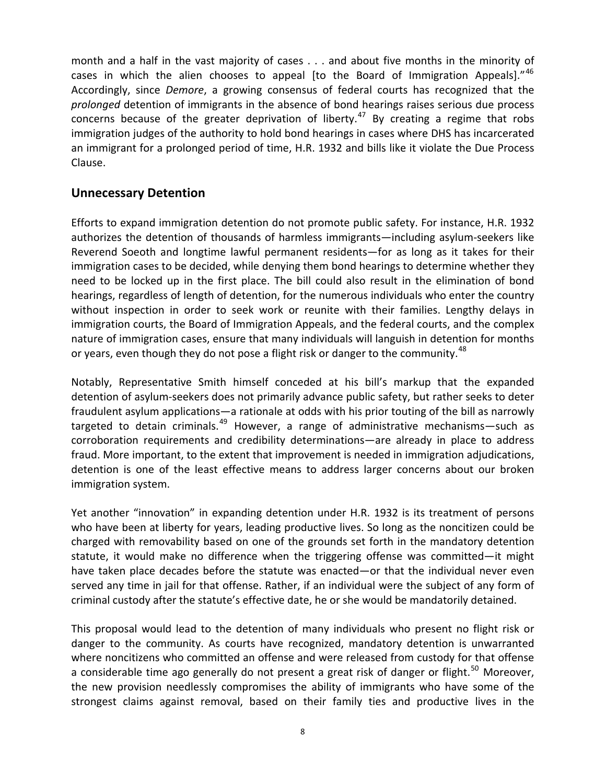month and a half in the vast majority of cases . . . and about five months in the minority of cases in which the alien chooses to appeal [to the Board of Immigration Appeals]." $46$ Accordingly, since *Demore*, a growing consensus of federal courts has recognized that the *prolonged* detention of immigrants in the absence of bond hearings raises serious due process concerns because of the greater deprivation of liberty.<sup>[47](#page-12-0)</sup> By creating a regime that robs immigration judges of the authority to hold bond hearings in cases where DHS has incarcerated an immigrant for a prolonged period of time, H.R. 1932 and bills like it violate the Due Process Clause.

## **Unnecessary Detention**

Efforts to expand immigration detention do not promote public safety. For instance, H.R. 1932 authorizes the detention of thousands of harmless immigrants—including asylum‐seekers like Reverend Soeoth and longtime lawful permanent residents—for as long as it takes for their immigration cases to be decided, while denying them bond hearings to determine whether they need to be locked up in the first place. The bill could also result in the elimination of bond hearings, regardless of length of detention, for the numerous individuals who enter the country without inspection in order to seek work or reunite with their families. Lengthy delays in immigration courts, the Board of Immigration Appeals, and the federal courts, and the complex nature of immigration cases, ensure that many individuals will languish in detention for months or years, even though they do not pose a flight risk or danger to the community.<sup>[48](#page-12-0)</sup>

Notably, Representative Smith himself conceded at his bill's markup that the expanded detention of asylum‐seekers does not primarily advance public safety, but rather seeks to deter fraudulent asylum applications—a rationale at odds with his prior touting of the bill as narrowly targeted to detain criminals.<sup>[49](#page-12-0)</sup> However, a range of administrative mechanisms—such as corroboration requirements and credibility determinations—are already in place to address fraud. More important, to the extent that improvement is needed in immigration adjudications, detention is one of the least effective means to address larger concerns about our broken immigration system.

Yet another "innovation" in expanding detention under H.R. 1932 is its treatment of persons who have been at liberty for years, leading productive lives. So long as the noncitizen could be charged with removability based on one of the grounds set forth in the mandatory detention statute, it would make no difference when the triggering offense was committed—it might have taken place decades before the statute was enacted—or that the individual never even served any time in jail for that offense. Rather, if an individual were the subject of any form of criminal custody after the statute's effective date, he or she would be mandatorily detained.

This proposal would lead to the detention of many individuals who present no flight risk or danger to the community. As courts have recognized, mandatory detention is unwarranted where noncitizens who committed an offense and were released from custody for that offense a considerable time ago generally do not present a great risk of danger or flight.<sup>[50](#page-12-0)</sup> Moreover, the new provision needlessly compromises the ability of immigrants who have some of the strongest claims against removal, based on their family ties and productive lives in the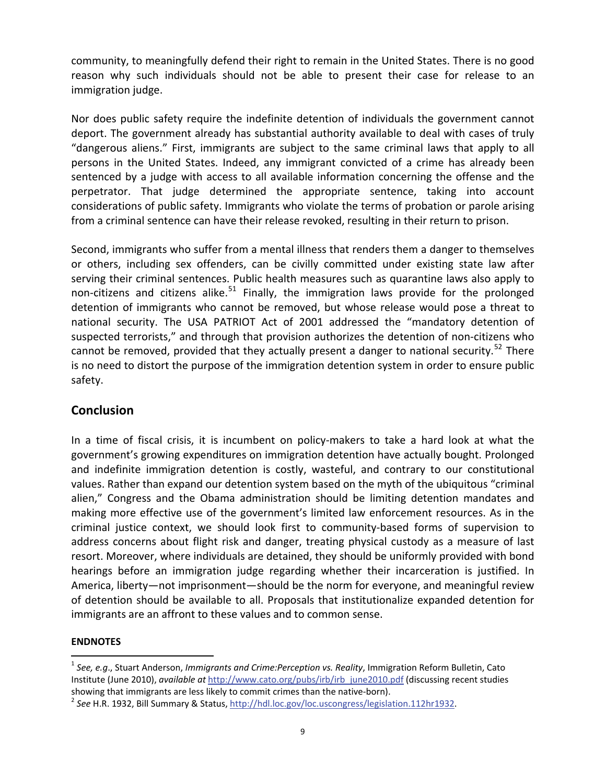<span id="page-9-1"></span>community, to meaningfully defend their right to remain in the United States. There is no good reason why such individuals should not be able to present their case for release to an immigration judge.

Nor does public safety require the indefinite detention of individuals the government cannot deport. The government already has substantial authority available to deal with cases of truly "dangerous aliens." First, immigrants are subject to the same criminal laws that apply to all persons in the United States. Indeed, any immigrant convicted of a crime has already been sentenced by a judge with access to all available information concerning the offense and the perpetrator. That judge determined the appropriate sentence, taking into account considerations of public safety. Immigrants who violate the terms of probation or parole arising from a criminal sentence can have their release revoked, resulting in their return to prison.

Second, immigrants who suffer from a mental illness that renders them a danger to themselves or others, including sex offenders, can be civilly committed under existing state law after serving their criminal sentences. Public health measures such as quarantine laws also apply to non-citizens and citizens alike.<sup>[51](#page-12-0)</sup> Finally, the immigration laws provide for the prolonged detention of immigrants who cannot be removed, but whose release would pose a threat to national security. The USA PATRIOT Act of 2001 addressed the "mandatory detention of suspected terrorists," and through that provision authorizes the detention of non-citizens who cannot be removed, provided that they actually present a danger to national security.<sup>[52](#page-12-1)</sup> There is no need to distort the purpose of the immigration detention system in order to ensure public safety.

## **Conclusion**

In a time of fiscal crisis, it is incumbent on policy-makers to take a hard look at what the government's growing expenditures on immigration detention have actually bought. Prolonged and indefinite immigration detention is costly, wasteful, and contrary to our constitutional values. Rather than expand our detention system based on the myth of the ubiquitous "criminal alien," Congress and the Obama administration should be limiting detention mandates and making more effective use of the government's limited law enforcement resources. As in the criminal justice context, we should look first to community‐based forms of supervision to address concerns about flight risk and danger, treating physical custody as a measure of last resort. Moreover, where individuals are detained, they should be uniformly provided with bond hearings before an immigration judge regarding whether their incarceration is justified. In America, liberty—not imprisonment—should be the norm for everyone, and meaningful review of detention should be available to all. Proposals that institutionalize expanded detention for immigrants are an affront to these values and to common sense.

#### **ENDNOTES**

<span id="page-9-0"></span><sup>1</sup> *See, e.g*., Stuart Anderson, *Immigrants and Crime:Perception vs. Reality*, Immigration Reform Bulletin, Cato Institute (June 2010), *available at* [http://www.cato.org/pubs/irb/irb\\_june2010.pdf](http://www.cato.org/pubs/irb/irb_june2010.pdf) (discussing recent studies showing that immigrants are less likely to commit crimes than the native-born).<br><sup>2</sup> See H.R. 1932, Bill Summary & Status, <http://hdl.loc.gov/loc.uscongress/legislation.112hr1932>.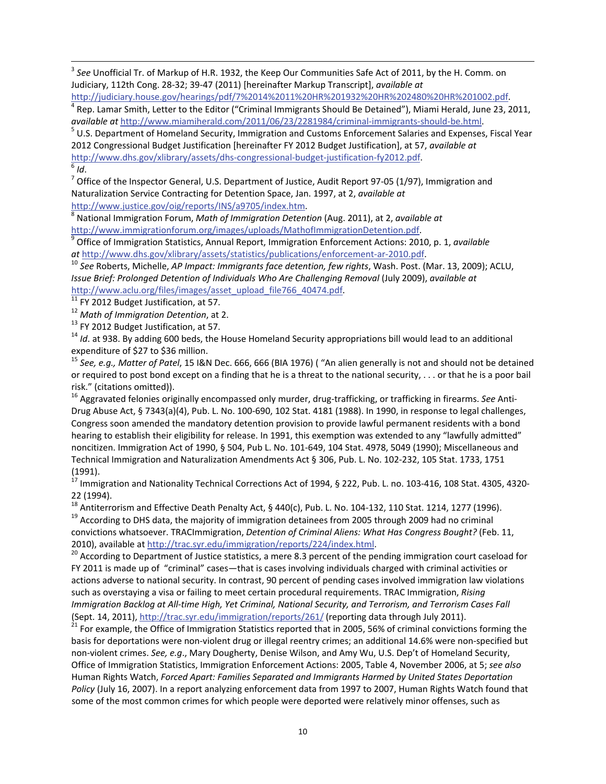<span id="page-10-0"></span><sup>3</sup> *See* Unofficial Tr. of Markup of H.R. 1932, the Keep Our Communities Safe Act of 2011, by the H. Comm. on Judiciary, 112th Cong. 28‐32; 39‐47 (2011) [hereinafter Markup Transcript], *available at*

<sup>4</sup> Rep. Lamar Smith, Letter to the Editor ("Criminal Immigrants Should Be Detained"), Miami Herald, June 23, 2011,

<u> 1989 - Johann Stein, marwolaethau a bhannaich an t-an an t-an an t-an an t-an an t-an an t-an an t-an an t-a</u>

*available at* [http://www.miamiherald.com/2011/06/23/2281984/criminal](http://www.miamiherald.com/2011/06/23/2281984/criminal-immigrants-should-be.html)‐immigrants‐should‐be.html. <sup>5</sup> U.S. Department of Homeland Security, Immigration and Customs Enforcement Salaries and Expenses, Fiscal Year 2012 Congressional Budget Justification [hereinafter FY 2012 Budget Justification], at 57, *available at* [http://www.dhs.gov/xlibrary/assets/dhs](http://www.dhs.gov/xlibrary/assets/dhs-congressional-budget-justification-fy2012.pdf)-congressional-budget-justification-fy2012.pdf.<br><sup>6</sup> *Id*.<br><sup>7</sup> Office of the Inspector General, U.S. Department of Justice, Audit Report 97-05 (1/97), Immigration and

Naturalization Service Contracting for Detention Space, Jan. 1997, at 2, *available at*

<http://www.justice.gov/oig/reports/INS/a9705/index.htm>. <sup>8</sup> National Immigration Forum, *Math of Immigration Detention* (Aug. 2011), at 2, *available at*

[http://www.immigrationforum.org/images/uploads/MathofImmigrationDetention.pdf.](http://www.immigrationforum.org/images/uploads/MathofImmigrationDetention.pdf)<br><sup>9</sup> Office of Immigration Statistics, Annual Report, Immigration Enforcement Actions: 2010, p. 1, *available*<br>*at* http://www.dhs.gov/xlibrary/

 $^{10}$  See Roberts, Michelle, AP Impact: Immigrants face detention, few rights, Wash. Post. (Mar. 13, 2009); ACLU, *Issue Brief: Prolonged Detention of Individuals Who Are Challenging Removal* (July 2009), *available at*

[http://www.aclu.org/files/images/asset\\_upload\\_file766\\_40474.pdf](http://www.aclu.org/files/images/asset_upload_file766_40474.pdf).<br><sup>11</sup> FY 2012 Budget Justification, at 57.<br><sup>12</sup> Math of Immigration Detention, at 2.<br><sup>13</sup> FY 2012 Budget Justification, at 57.<br><sup>14</sup> Id. at 938. By adding 600

<sup>15</sup> See, e.g., Matter of Patel, 15 I&N Dec. 666, 666 (BIA 1976) ( "An alien generally is not and should not be detained or required to post bond except on a finding that he is a threat to the national security, . . . or that he is a poor bail risk." (citations omitted)).<br><sup>16</sup> Aggravated felonies originally encompassed only murder, drug-trafficking, or trafficking in firearms. *See* Anti-

Drug Abuse Act, § 7343(a)(4), Pub. L. No. 100‐690, 102 Stat. 4181 (1988). In 1990, in response to legal challenges, Congress soon amended the mandatory detention provision to provide lawful permanent residents with a bond hearing to establish their eligibility for release. In 1991, this exemption was extended to any "lawfully admitted" noncitizen. Immigration Act of 1990, § 504, Pub L. No. 101‐649, 104 Stat. 4978, 5049 (1990); Miscellaneous and Technical Immigration and Naturalization Amendments Act § 306, Pub. L. No. 102‐232, 105 Stat. 1733, 1751 (1991).

 $^{17}$  Immigration and Nationality Technical Corrections Act of 1994, § 222, Pub. L. no. 103-416, 108 Stat. 4305, 4320-

22 (1994).<br><sup>18</sup> Antiterrorism and Effective Death Penalty Act, § 440(c), Pub. L. No. 104-132, 110 Stat. 1214, 1277 (1996).<br><sup>19</sup> According to DHS data, the majority of immigration detainees from 2005 through 2009 had no cr convictions whatsoever. TRACImmigration, *Detention of Criminal Aliens: What Has Congress Bought?* (Feb. 11, 2010), available at <http://trac.syr.edu/immigration/reports/224/index.html>.<br><sup>20</sup> According to Department of Justice statistics, a mere 8.3 percent of the pending immigration court caseload for

FY 2011 is made up of "criminal" cases—that is cases involving individuals charged with criminal activities or actions adverse to national security. In contrast, 90 percent of pending cases involved immigration law violations such as overstaying a visa or failing to meet certain procedural requirements. TRAC Immigration, *Rising* Immigration Backlog at All-time High, Yet Criminal, National Security, and Terrorism, and Terrorism Cases Fall (Sept. 14, 2011), <http://trac.syr.edu/immigration/reports/261/> (reporting data through July 2011).<br><sup>21</sup> For example, the Office of Immigration Statistics reported that in 2005, 56% of criminal convictions forming the

basis for deportations were non‐violent drug or illegal reentry crimes; an additional 14.6% were non‐specified but non‐violent crimes. *See, e.g*., Mary Dougherty, Denise Wilson, and Amy Wu, U.S. Dep't of Homeland Security, Office of Immigration Statistics, Immigration Enforcement Actions: 2005, Table 4, November 2006, at 5; *see also* Human Rights Watch, *Forced Apart: Families Separated and Immigrants Harmed by United States Deportation Policy* (July 16, 2007). In a report analyzing enforcement data from 1997 to 2007, Human Rights Watch found that some of the most common crimes for which people were deported were relatively minor offenses, such as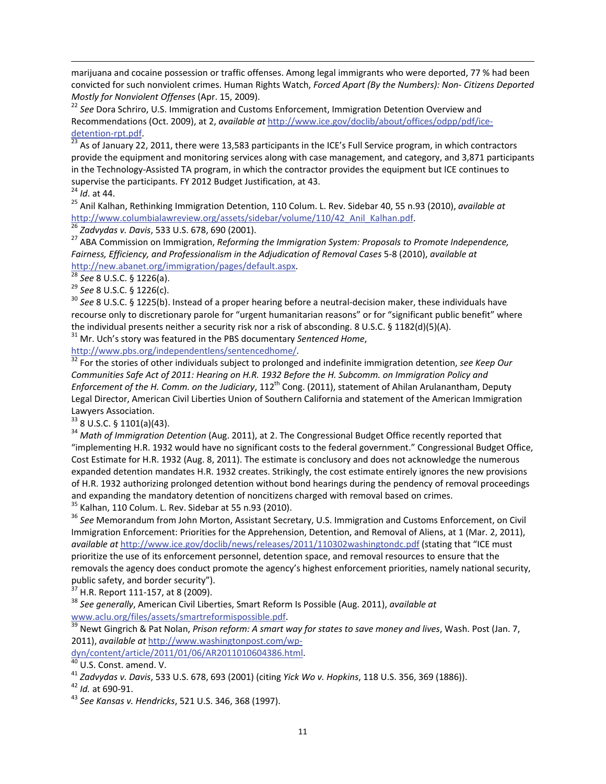marijuana and cocaine possession or traffic offenses. Among legal immigrants who were deported, 77 % had been convicted for such nonviolent crimes. Human Rights Watch, *Forced Apart (By the Numbers): Non‐ Citizens Deported Mostly for Nonviolent Offenses* (Apr. 15, 2009).<br><sup>22</sup> *See* Dora Schriro, U.S. Immigration and Customs Enforcement, Immigration Detention Overview and

<span id="page-11-0"></span><u> 1989 - Johann Stein, marwolaethau a bhannaich an t-an an t-an an t-an an t-an an t-an an t-an an t-an an t-a</u>

Recommendations (Oct. 2009), at 2, *available at* [http://www.ice.gov/doclib/about/offices/odpp/pdf/ice](http://www.ice.gov/doclib/about/offices/odpp/pdf/ice-detention-rpt.pdf)-detention-rpt.pdf.

<sup>23</sup> As of January 22, 2011, there were 13,583 participants in the ICE's Full Service program, in which contractors provide the equipment and monitoring services along with case management, and category, and 3,871 participants in the Technology‐Assisted TA program, in which the contractor provides the equipment but ICE continues to supervise the participants. FY 2012 Budget Justification, at 43.<br><sup>24</sup> *Id*. at 44.<br><sup>25</sup> Anil Kalhan, Rethinking Immigration Detention, 110 Colum. L. Rev. Sidebar 40, 55 n.93 (2010), *available at* 

http://www.columbialawreview.org/assets/sidebar/volume/110/42 Anil Kalhan.pdf.<br><sup>26</sup> Zadvydas v. Davis, 533 U.S. 678, 690 (2001).<br><sup>27</sup> ABA Commission on Immigration, *Reforming the Immigration System: Proposals to Promote I* 

*Fairness, Efficiency, and Professionalism in the Adjudication of Removal Cases* 5‐8 (2010), *available at* [http://new.abanet.org/immigration/pages/default.aspx.](http://new.abanet.org/immigration/pages/default.aspx)<br>
<sup>28</sup> See 8 U.S.C. § 1226(a).<br>
<sup>29</sup> See 8 U.S.C. § 1226(c).<br>
<sup>30</sup> See 8 U.S.C. § 1225(b). Instead of a proper hearing before a neutral-decision maker, these individual

recourse only to discretionary parole for "urgent humanitarian reasons" or for "significant public benefit" where the individual presents neither a security risk nor a risk of absconding. 8 U.S.C. § 1182(d)(5)(A).<br><sup>31</sup> Mr. Uch's story was featured in the PBS documentary *Sentenced Home*,<br>http://www.pbs.org/independentlens/sentencedhom

 $\frac{32}{32}$  For the stories of other individuals subject to prolonged and indefinite immigration detention, *see Keep Our Communities Safe Act of 2011: Hearing on H.R. 1932 Before the H. Subcomm. on Immigration Policy and Enforcement of the H. Comm. on the Judiciary*, 112th Cong. (2011), statement of Ahilan Arulanantham, Deputy Legal Director, American Civil Liberties Union of Southern California and statement of the American Immigration

Lawyers Association.<br><sup>33</sup> 8 U.S.C. § 1101(a)(43).<br><sup>34</sup> *Math of Immigration Detention* (Aug. 2011), at 2. The Congressional Budget Office recently reported that "implementing H.R. 1932 would have no significant costs to the federal government." Congressional Budget Office, Cost Estimate for H.R. 1932 (Aug. 8, 2011). The estimate is conclusory and does not acknowledge the numerous expanded detention mandates H.R. 1932 creates. Strikingly, the cost estimate entirely ignores the new provisions of H.R. 1932 authorizing prolonged detention without bond hearings during the pendency of removal proceedings and expanding the mandatory detention of noncitizens charged with removal based on crimes.<br><sup>35</sup> Kalhan, 110 Colum. L. Rev. Sidebar at 55 n.93 (2010).<br><sup>36</sup> See Memorandum from John Morton, Assistant Secretary, U.S. Immigrat

Immigration Enforcement: Priorities for the Apprehension, Detention, and Removal of Aliens, at 1 (Mar. 2, 2011), *available at* <http://www.ice.gov/doclib/news/releases/2011/110302washingtondc.pdf> (stating that "ICE must prioritize the use of its enforcement personnel, detention space, and removal resources to ensure that the removals the agency does conduct promote the agency's highest enforcement priorities, namely national security,

public safety, and border security").<br><sup>37</sup> H.R. Report 111-157, at 8 (2009).<br><sup>38</sup> *See generally*, American Civil Liberties, Smart Reform Is Possible (Aug. 2011), *available at*<br>www.aclu.org/files/assets/smartreformispossi

 $\frac{39}{39}$  Newt Gingrich & Pat Nolan, Prison reform: A smart way for states to save money and lives, Wash. Post (Jan. 7, 2011), *available at* [http://www.washingtonpost.com/wp](http://www.washingtonpost.com/wp-dyn/content/article/2011/01/06/AR2011010604386.html)-<br>dyn/content/article/2011/01/06/AR2011010604386.html.

<sup>&</sup>lt;sup>40</sup> U.S. Const. amend. V.<br><sup>41</sup> Zadvydas v. Davis, 533 U.S. 678, 693 (2001) (citing Yick Wo v. Hopkins, 118 U.S. 356, 369 (1886)).<br><sup>42</sup> Id. at 690-91.<br><sup>43</sup> See Kansas v. Hendricks, 521 U.S. 346, 368 (1997).